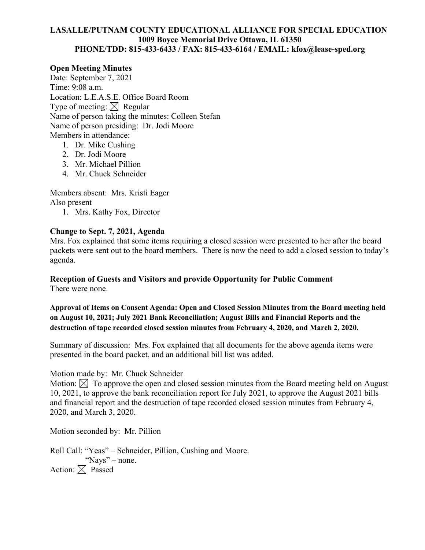#### **LASALLE/PUTNAM COUNTY EDUCATIONAL ALLIANCE FOR SPECIAL EDUCATION 1009 Boyce Memorial Drive Ottawa, IL 61350 PHONE/TDD: 815-433-6433 / FAX: 815-433-6164 / EMAIL: kfox@lease-sped.org**

#### **Open Meeting Minutes**

Date: September 7, 2021 Time: 9:08 a.m. Location: L.E.A.S.E. Office Board Room Type of meeting:  $\boxtimes$  Regular Name of person taking the minutes: Colleen Stefan Name of person presiding: Dr. Jodi Moore Members in attendance:

- 1. Dr. Mike Cushing
- 2. Dr. Jodi Moore
- 3. Mr. Michael Pillion
- 4. Mr. Chuck Schneider

Members absent: Mrs. Kristi Eager Also present

1. Mrs. Kathy Fox, Director

### **Change to Sept. 7, 2021, Agenda**

Mrs. Fox explained that some items requiring a closed session were presented to her after the board packets were sent out to the board members. There is now the need to add a closed session to today's agenda.

# **Reception of Guests and Visitors and provide Opportunity for Public Comment**

There were none.

## **Approval of Items on Consent Agenda: Open and Closed Session Minutes from the Board meeting held on August 10, 2021; July 2021 Bank Reconciliation; August Bills and Financial Reports and the destruction of tape recorded closed session minutes from February 4, 2020, and March 2, 2020.**

Summary of discussion: Mrs. Fox explained that all documents for the above agenda items were presented in the board packet, and an additional bill list was added.

#### Motion made by: Mr. Chuck Schneider

Motion:  $\boxtimes$  To approve the open and closed session minutes from the Board meeting held on August 10, 2021, to approve the bank reconciliation report for July 2021, to approve the August 2021 bills and financial report and the destruction of tape recorded closed session minutes from February 4, 2020, and March 3, 2020.

Motion seconded by: Mr. Pillion

Roll Call: "Yeas" – Schneider, Pillion, Cushing and Moore. "Nays" – none. Action:  $\boxtimes$  Passed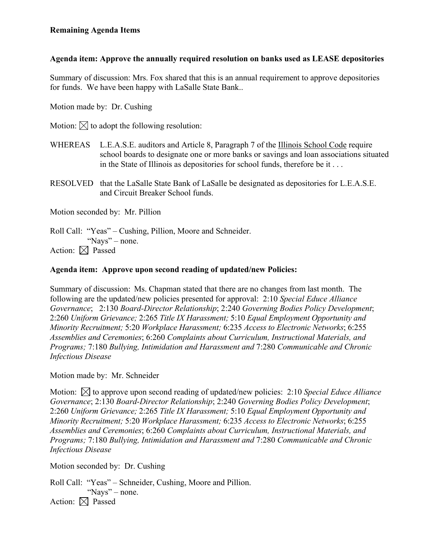## **Agenda item: Approve the annually required resolution on banks used as LEASE depositories**

Summary of discussion: Mrs. Fox shared that this is an annual requirement to approve depositories for funds. We have been happy with LaSalle State Bank..

Motion made by: Dr. Cushing

Motion:  $\boxtimes$  to adopt the following resolution:

- WHEREAS L.E.A.S.E. auditors and Article 8, Paragraph 7 of the Illinois School Code require school boards to designate one or more banks or savings and loan associations situated in the State of Illinois as depositories for school funds, therefore be it . . .
- RESOLVED that the LaSalle State Bank of LaSalle be designated as depositories for L.E.A.S.E. and Circuit Breaker School funds.

Motion seconded by: Mr. Pillion

Roll Call: "Yeas" – Cushing, Pillion, Moore and Schneider. "Nays" – none. Action:  $\boxtimes$  Passed

## **Agenda item: Approve upon second reading of updated/new Policies:**

Summary of discussion: Ms. Chapman stated that there are no changes from last month. The following are the updated/new policies presented for approval: 2:10 *Special Educe Alliance Governance*; 2:130 *Board-Director Relationship*; 2:240 *Governing Bodies Policy Development*; 2:260 *Uniform Grievance;* 2:265 *Title IX Harassment;* 5:10 *Equal Employment Opportunity and Minority Recruitment;* 5:20 *Workplace Harassment;* 6:235 *Access to Electronic Networks*; 6:255 *Assemblies and Ceremonies*; 6:260 *Complaints about Curriculum, Instructional Materials, and Programs;* 7:180 *Bullying, Intimidation and Harassment and* 7:280 *Communicable and Chronic Infectious Disease* 

Motion made by: Mr. Schneider

Motion:  $\bowtie$  to approve upon second reading of updated/new policies: 2:10 *Special Educe Alliance Governance*; 2:130 *Board-Director Relationship*; 2:240 *Governing Bodies Policy Development*; 2:260 *Uniform Grievance;* 2:265 *Title IX Harassment;* 5:10 *Equal Employment Opportunity and Minority Recruitment;* 5:20 *Workplace Harassment;* 6:235 *Access to Electronic Networks*; 6:255 *Assemblies and Ceremonies*; 6:260 *Complaints about Curriculum, Instructional Materials, and Programs;* 7:180 *Bullying, Intimidation and Harassment and* 7:280 *Communicable and Chronic Infectious Disease*

Motion seconded by: Dr. Cushing

Roll Call: "Yeas" – Schneider, Cushing, Moore and Pillion. "Nays" – none. Action:  $\boxtimes$  Passed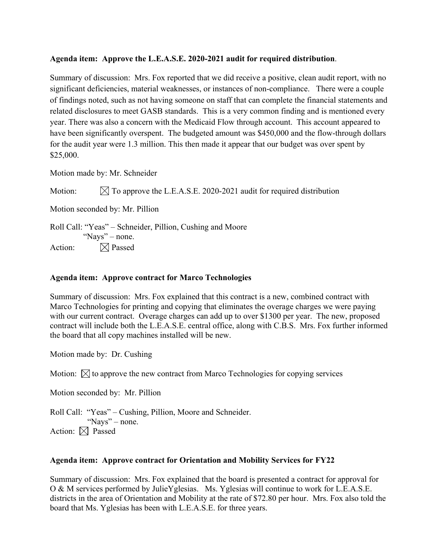## **Agenda item: Approve the L.E.A.S.E. 2020-2021 audit for required distribution**.

Summary of discussion: Mrs. Fox reported that we did receive a positive, clean audit report, with no significant deficiencies, material weaknesses, or instances of non-compliance. There were a couple of findings noted, such as not having someone on staff that can complete the financial statements and related disclosures to meet GASB standards. This is a very common finding and is mentioned every year. There was also a concern with the Medicaid Flow through account. This account appeared to have been significantly overspent. The budgeted amount was \$450,000 and the flow-through dollars for the audit year were 1.3 million. This then made it appear that our budget was over spent by \$25,000.

Motion made by: Mr. Schneider

Motion:  $\boxtimes$  To approve the L.E.A.S.E. 2020-2021 audit for required distribution

Motion seconded by: Mr. Pillion

Roll Call: "Yeas" – Schneider, Pillion, Cushing and Moore "Nays" – none. Action:  $\boxtimes$  Passed

## **Agenda item: Approve contract for Marco Technologies**

Summary of discussion: Mrs. Fox explained that this contract is a new, combined contract with Marco Technologies for printing and copying that eliminates the overage charges we were paying with our current contract. Overage charges can add up to over \$1300 per year. The new, proposed contract will include both the L.E.A.S.E. central office, along with C.B.S. Mrs. Fox further informed the board that all copy machines installed will be new.

Motion made by: Dr. Cushing

Motion:  $\boxtimes$  to approve the new contract from Marco Technologies for copying services

Motion seconded by: Mr. Pillion

Roll Call: "Yeas" – Cushing, Pillion, Moore and Schneider. "Nays" – none. Action:  $\boxtimes$  Passed

## **Agenda item: Approve contract for Orientation and Mobility Services for FY22**

Summary of discussion: Mrs. Fox explained that the board is presented a contract for approval for O & M services performed by JulieYglesias. Ms. Yglesias will continue to work for L.E.A.S.E. districts in the area of Orientation and Mobility at the rate of \$72.80 per hour. Mrs. Fox also told the board that Ms. Yglesias has been with L.E.A.S.E. for three years.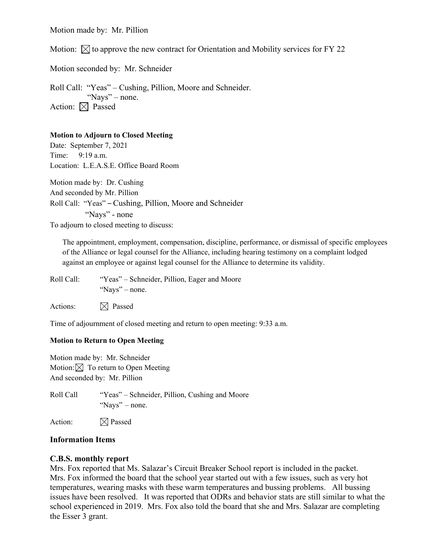Motion made by: Mr. Pillion

Motion:  $\boxtimes$  to approve the new contract for Orientation and Mobility services for FY 22

Motion seconded by: Mr. Schneider

Roll Call: "Yeas" – Cushing, Pillion, Moore and Schneider. "Nays" – none. Action:  $\boxtimes$  Passed

#### **Motion to Adjourn to Closed Meeting**

Date: September 7, 2021 Time: 9:19 a.m. Location: L.E.A.S.E. Office Board Room Motion made by: Dr. Cushing And seconded by Mr. Pillion Roll Call: "Yeas" – Cushing, Pillion, Moore and Schneider "Nays" - none

To adjourn to closed meeting to discuss:

The appointment, employment, compensation, discipline, performance, or dismissal of specific employees of the Alliance or legal counsel for the Alliance, including hearing testimony on a complaint lodged against an employee or against legal counsel for the Alliance to determine its validity.

Roll Call: "Yeas" – Schneider, Pillion, Eager and Moore "Nays" – none.

Actions:  $\boxtimes$  Passed

Time of adjournment of closed meeting and return to open meeting: 9:33 a.m.

#### **Motion to Return to Open Meeting**

Motion made by: Mr. Schneider Motion:  $\boxtimes$  To return to Open Meeting And seconded by: Mr. Pillion

Roll Call "Yeas" – Schneider, Pillion, Cushing and Moore "Nays" – none.

Action:  $\boxtimes$  Passed

#### **Information Items**

#### **C.B.S. monthly report**

Mrs. Fox reported that Ms. Salazar's Circuit Breaker School report is included in the packet. Mrs. Fox informed the board that the school year started out with a few issues, such as very hot temperatures, wearing masks with these warm temperatures and bussing problems. All bussing issues have been resolved. It was reported that ODRs and behavior stats are still similar to what the school experienced in 2019. Mrs. Fox also told the board that she and Mrs. Salazar are completing the Esser 3 grant.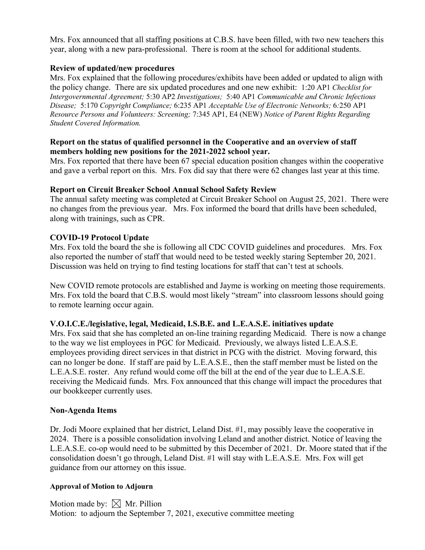Mrs. Fox announced that all staffing positions at C.B.S. have been filled, with two new teachers this year, along with a new para-professional. There is room at the school for additional students.

## **Review of updated/new procedures**

Mrs. Fox explained that the following procedures/exhibits have been added or updated to align with the policy change. There are six updated procedures and one new exhibit: 1:20 AP1 *Checklist for Intergovernmental Agreement;* 5:30 AP2 *Investigations;* 5:40 AP1 *Communicable and Chronic Infectious Disease;* 5:170 *Copyright Compliance;* 6:235 AP1 *Acceptable Use of Electronic Networks;* 6*:*250 AP1 *Resource Persons and Volunteers: Screening;* 7:345 AP1, E4 (NEW) *Notice of Parent Rights Regarding Student Covered Information.*

## **Report on the status of qualified personnel in the Cooperative and an overview of staff members holding new positions for the 2021-2022 school year.**

Mrs. Fox reported that there have been 67 special education position changes within the cooperative and gave a verbal report on this. Mrs. Fox did say that there were 62 changes last year at this time.

## **Report on Circuit Breaker School Annual School Safety Review**

The annual safety meeting was completed at Circuit Breaker School on August 25, 2021. There were no changes from the previous year. Mrs. Fox informed the board that drills have been scheduled, along with trainings, such as CPR.

## **COVID-19 Protocol Update**

Mrs. Fox told the board the she is following all CDC COVID guidelines and procedures. Mrs. Fox also reported the number of staff that would need to be tested weekly staring September 20, 2021. Discussion was held on trying to find testing locations for staff that can't test at schools.

New COVID remote protocols are established and Jayme is working on meeting those requirements. Mrs. Fox told the board that C.B.S. would most likely "stream" into classroom lessons should going to remote learning occur again.

# **V.O.I.C.E./legislative, legal, Medicaid, I.S.B.E. and L.E.A.S.E. initiatives update**

Mrs. Fox said that she has completed an on-line training regarding Medicaid. There is now a change to the way we list employees in PGC for Medicaid. Previously, we always listed L.E.A.S.E. employees providing direct services in that district in PCG with the district. Moving forward, this can no longer be done. If staff are paid by L.E.A.S.E., then the staff member must be listed on the L.E.A.S.E. roster. Any refund would come off the bill at the end of the year due to L.E.A.S.E. receiving the Medicaid funds. Mrs. Fox announced that this change will impact the procedures that our bookkeeper currently uses.

## **Non-Agenda Items**

Dr. Jodi Moore explained that her district, Leland Dist. #1, may possibly leave the cooperative in 2024. There is a possible consolidation involving Leland and another district. Notice of leaving the L.E.A.S.E. co-op would need to be submitted by this December of 2021. Dr. Moore stated that if the consolidation doesn't go through, Leland Dist. #1 will stay with L.E.A.S.E. Mrs. Fox will get guidance from our attorney on this issue.

## **Approval of Motion to Adjourn**

Motion made by:  $\boxtimes$  Mr. Pillion Motion: to adjourn the September 7, 2021, executive committee meeting